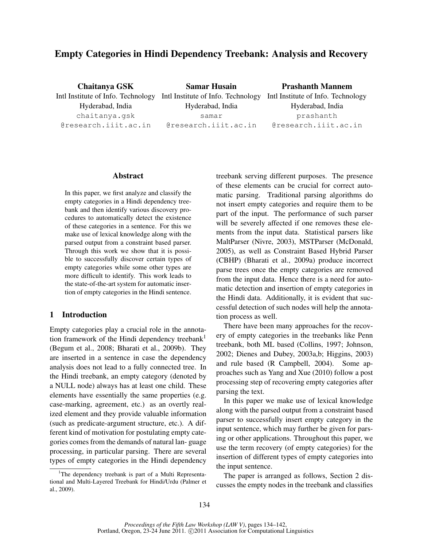# Empty Categories in Hindi Dependency Treebank: Analysis and Recovery

Chaitanya GSK Intl Institute of Info. Technology Hyderabad, India chaitanya.gsk @research.iiit.ac.in Samar Husain Intl Institute of Info. Technology Intl Institute of Info. Technology Hyderabad, India samar @research.iiit.ac.in Prashanth Mannem Hyderabad, India prashanth @research.iiit.ac.in

### Abstract

In this paper, we first analyze and classify the empty categories in a Hindi dependency treebank and then identify various discovery procedures to automatically detect the existence of these categories in a sentence. For this we make use of lexical knowledge along with the parsed output from a constraint based parser. Through this work we show that it is possible to successfully discover certain types of empty categories while some other types are more difficult to identify. This work leads to the state-of-the-art system for automatic insertion of empty categories in the Hindi sentence.

# 1 Introduction

Empty categories play a crucial role in the annotation framework of the Hindi dependency treebank<sup>1</sup> (Begum et al., 2008; Bharati et al., 2009b). They are inserted in a sentence in case the dependency analysis does not lead to a fully connected tree. In the Hindi treebank, an empty category (denoted by a NULL node) always has at least one child. These elements have essentially the same properties (e.g. case-marking, agreement, etc.) as an overtly realized element and they provide valuable information (such as predicate-argument structure, etc.). A different kind of motivation for postulating empty categories comes from the demands of natural lan- guage processing, in particular parsing. There are several types of empty categories in the Hindi dependency

treebank serving different purposes. The presence of these elements can be crucial for correct automatic parsing. Traditional parsing algorithms do not insert empty categories and require them to be part of the input. The performance of such parser will be severely affected if one removes these elements from the input data. Statistical parsers like MaltParser (Nivre, 2003), MSTParser (McDonald, 2005), as well as Constraint Based Hybrid Parser (CBHP) (Bharati et al., 2009a) produce incorrect parse trees once the empty categories are removed from the input data. Hence there is a need for automatic detection and insertion of empty categories in the Hindi data. Additionally, it is evident that successful detection of such nodes will help the annotation process as well.

There have been many approaches for the recovery of empty categories in the treebanks like Penn treebank, both ML based (Collins, 1997; Johnson, 2002; Dienes and Dubey, 2003a,b; Higgins, 2003) and rule based (R Campbell, 2004). Some approaches such as Yang and Xue (2010) follow a post processing step of recovering empty categories after parsing the text.

In this paper we make use of lexical knowledge along with the parsed output from a constraint based parser to successfully insert empty category in the input sentence, which may further be given for parsing or other applications. Throughout this paper, we use the term recovery (of empty categories) for the insertion of different types of empty categories into the input sentence.

The paper is arranged as follows, Section 2 discusses the empty nodes in the treebank and classifies

<sup>&</sup>lt;sup>1</sup>The dependency treebank is part of a Multi Representational and Multi-Layered Treebank for Hindi/Urdu (Palmer et al., 2009).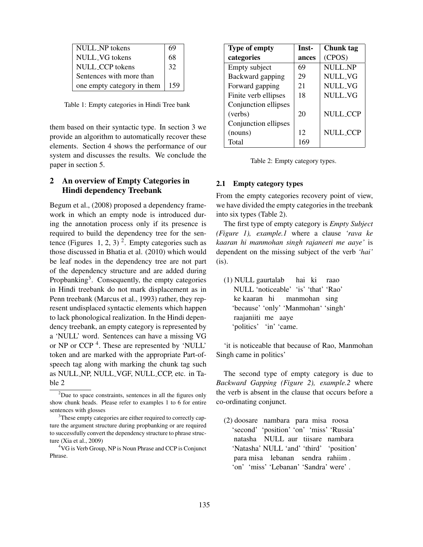| NULL_NP tokens             | 69  |
|----------------------------|-----|
| NULL_VG tokens             | 68  |
| NULL CCP tokens            | 32  |
| Sentences with more than   |     |
| one empty category in them | 159 |

Table 1: Empty categories in Hindi Tree bank

them based on their syntactic type. In section 3 we provide an algorithm to automatically recover these elements. Section 4 shows the performance of our system and discusses the results. We conclude the paper in section 5.

# 2 An overview of Empty Categories in Hindi dependency Treebank

Begum et al., (2008) proposed a dependency framework in which an empty node is introduced during the annotation process only if its presence is required to build the dependency tree for the sentence (Figures 1, 2, 3)<sup>2</sup>. Empty categories such as those discussed in Bhatia et al. (2010) which would be leaf nodes in the dependency tree are not part of the dependency structure and are added during Propbanking<sup>3</sup>. Consequently, the empty categories in Hindi treebank do not mark displacement as in Penn treebank (Marcus et al., 1993) rather, they represent undisplaced syntactic elements which happen to lack phonological realization. In the Hindi dependency treebank, an empty category is represented by a 'NULL' word. Sentences can have a missing VG or NP or CCP<sup>4</sup>. These are represented by 'NULL' token and are marked with the appropriate Part-ofspeech tag along with marking the chunk tag such as NULL NP, NULL VGF, NULL CCP, etc. in Table 2

| <b>Type of empty</b> | Inst- | Chunk tag       |
|----------------------|-------|-----------------|
| categories           | ances | (CPOS)          |
| Empty subject        | 69    | <b>NULL_NP</b>  |
| Backward gapping     | 29    | NULL_VG         |
| Forward gapping      | 21    | NULL_VG         |
| Finite verb ellipses | 18    | NULL_VG         |
| Conjunction ellipses |       |                 |
| (verbs)              | 20    | <b>NULL_CCP</b> |
| Conjunction ellipses |       |                 |
| (nouns)              | 12    | <b>NULL_CCP</b> |
| Total                | 169   |                 |

Table 2: Empty category types.

#### 2.1 Empty category types

From the empty categories recovery point of view, we have divided the empty categories in the treebank into six types (Table 2).

The first type of empty category is *Empty Subject (Figure 1), example.1* where a clause *'rava ke kaaran hi manmohan singh rajaneeti me aaye'* is dependent on the missing subject of the verb *'hai'* (is).

(1) NULL gaurtalab hai ki raao NULL 'noticeable' 'is' 'that' 'Rao' ke kaaran hi manmohan sing 'because' 'only' 'Manmohan' 'singh' raajaniiti me aaye 'politics' 'in' 'came.

'it is noticeable that because of Rao, Manmohan Singh came in politics'

The second type of empty category is due to *Backward Gapping (Figure 2), example.2* where the verb is absent in the clause that occurs before a co-ordinating conjunct.

<sup>&</sup>lt;sup>2</sup>Due to space constraints, sentences in all the figures only show chunk heads. Please refer to examples 1 to 6 for entire sentences with glosses

<sup>&</sup>lt;sup>3</sup>These empty categories are either required to correctly capture the argument structure during propbanking or are required to successfully convert the dependency structure to phrase structure (Xia et al., 2009)

<sup>4</sup>VG is Verb Group, NP is Noun Phrase and CCP is Conjunct Phrase.

<sup>(2)</sup> doosare nambara para misa roosa 'second' 'position' 'on' 'miss' 'Russia' natasha NULL aur tiisare nambara 'Natasha' NULL 'and' 'third' 'position' para misa lebanan sendra rahiim . 'on' 'miss' 'Lebanan' 'Sandra' were' .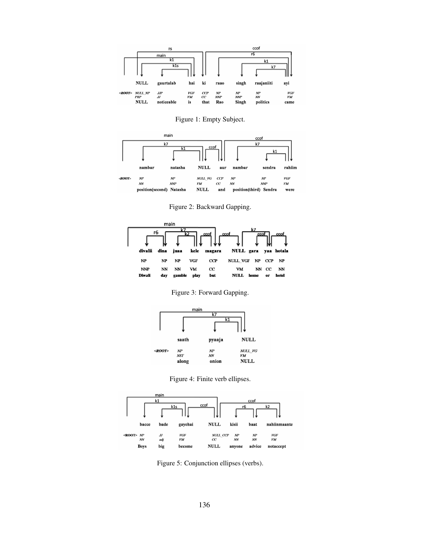

Figure 1: Empty Subject.



Figure 2: Backward Gapping.



Figure 3: Forward Gapping.



Figure 4: Finite verb ellipses.



Figure 5: Conjunction ellipses (verbs).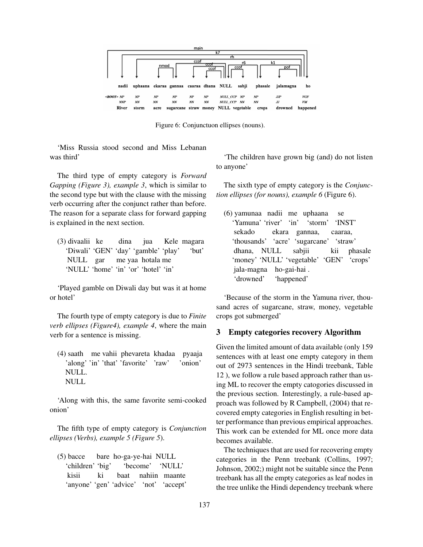

Figure 6: Conjunctuon ellipses (nouns).

'Miss Russia stood second and Miss Lebanan was third'

The third type of empty category is *Forward Gapping (Figure 3), example 3*, which is similar to the second type but with the clause with the missing verb occurring after the conjunct rather than before. The reason for a separate class for forward gapping is explained in the next section.

(3) divaalii ke dina jua Kele magara 'Diwali' 'GEN' 'day' 'gamble' 'play' 'but' NULL gar me yaa hotala me 'NULL' 'home' 'in' 'or' 'hotel' 'in'

'Played gamble on Diwali day but was it at home or hotel'

The fourth type of empty category is due to *Finite verb ellipses (Figure4), example 4*, where the main verb for a sentence is missing.

(4) saath me vahii phevareta khadaa pyaaja 'along' 'in' 'that' 'favorite' 'raw' 'onion' NULL. NULL

'Along with this, the same favorite semi-cooked onion'

The fifth type of empty category is *Conjunction ellipses (Verbs), example 5 (Figure 5*).

(5) bacce bare ho-ga-ye-hai NULL 'children' 'big' 'become' 'NULL' kisii ki baat nahiin maante 'anyone' 'gen' 'advice' 'not' 'accept'

'The children have grown big (and) do not listen to anyone'

The sixth type of empty category is the *Conjunction ellipses (for nouns), example 6* (Figure 6).

(6) yamunaa nadii me uphaana se 'Yamuna' 'river' 'in' 'storm' 'INST' sekado ekara gannaa, caaraa, 'thousands' 'acre' 'sugarcane' 'straw' dhana, NULL sabjii kii phasale 'money' 'NULL' 'vegetable' 'GEN' 'crops' jala-magna ho-gai-hai . 'drowned' 'happened'

'Because of the storm in the Yamuna river, thousand acres of sugarcane, straw, money, vegetable crops got submerged'

## 3 Empty categories recovery Algorithm

Given the limited amount of data available (only 159 sentences with at least one empty category in them out of 2973 sentences in the Hindi treebank, Table 12 ), we follow a rule based approach rather than using ML to recover the empty catogories discussed in the previous section. Interestingly, a rule-based approach was followed by R Campbell, (2004) that recovered empty categories in English resulting in better performance than previous empirical approaches. This work can be extended for ML once more data becomes available.

The techniques that are used for recovering empty categories in the Penn treebank (Collins, 1997; Johnson, 2002;) might not be suitable since the Penn treebank has all the empty categories as leaf nodes in the tree unlike the Hindi dependency treebank where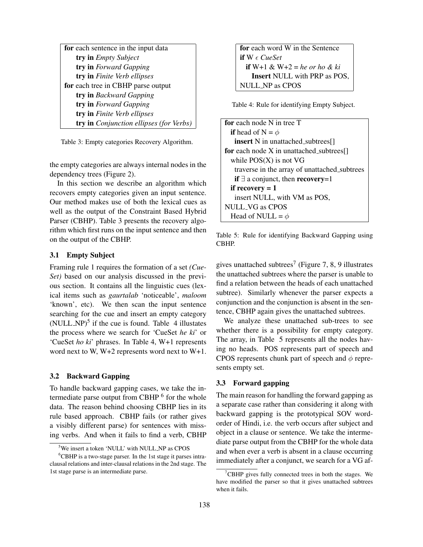| for each sentence in the input data     |
|-----------------------------------------|
| try in Empty Subject                    |
| try in Forward Gapping                  |
| try in Finite Verb ellipses             |
| for each tree in CBHP parse output      |
| try in Backward Gapping                 |
| <b>try in</b> Forward Gapping           |
| try in Finite Verb ellipses             |
| try in Conjunction ellipses (for Verbs) |

Table 3: Empty categories Recovery Algorithm.

the empty categories are always internal nodes in the dependency trees (Figure 2).

In this section we describe an algorithm which recovers empty categories given an input sentence. Our method makes use of both the lexical cues as well as the output of the Constraint Based Hybrid Parser (CBHP). Table 3 presents the recovery algorithm which first runs on the input sentence and then on the output of the CBHP.

## 3.1 Empty Subject

Framing rule 1 requires the formation of a set *(Cue-Set)* based on our analysis discussed in the previous section. It contains all the linguistic cues (lexical items such as *gaurtalab* 'noticeable', *maloom* 'known', etc). We then scan the input sentence searching for the cue and insert an empty category (NULL\_NP)<sup>5</sup> if the cue is found. Table  $\,4\text{ illustrates}$ the process where we search for 'CueSet *he ki*' or 'CueSet *ho ki*' phrases. In Table 4, W+1 represents word next to W, W+2 represents word next to W+1.

## 3.2 Backward Gapping

To handle backward gapping cases, we take the intermediate parse output from CBHP <sup>6</sup> for the whole data. The reason behind choosing CBHP lies in its rule based approach. CBHP fails (or rather gives a visibly different parse) for sentences with missing verbs. And when it fails to find a verb, CBHP

for each word W in the Sentence if W *CueSet* if W+1 & W+2 = *he or ho & ki* Insert NULL with PRP as POS, NULL NP as CPOS

Table 4: Rule for identifying Empty Subject.

| <b>for</b> each node N in tree T                               |
|----------------------------------------------------------------|
| <b>if</b> head of N = $\phi$                                   |
| <b>insert</b> N in unattached_subtrees[]                       |
| for each node $X$ in unattached_subtrees $\lceil \cdot \rceil$ |
| while $POS(X)$ is not VG                                       |
| traverse in the array of unattached_subtrees                   |
| if $\exists$ a conjunct, then <b>recovery</b> =1               |
| if recovery $= 1$                                              |
| insert NULL, with VM as POS,                                   |
| NULL_VG as CPOS                                                |
| Head of NULL = $\phi$                                          |

Table 5: Rule for identifying Backward Gapping using CBHP.

gives unattached subtrees<sup>7</sup> (Figure 7, 8, 9 illustrates the unattached subtrees where the parser is unable to find a relation between the heads of each unattached subtree). Similarly whenever the parser expects a conjunction and the conjunction is absent in the sentence, CBHP again gives the unattached subtrees.

We analyze these unattached sub-trees to see whether there is a possibility for empty category. The array, in Table 5 represents all the nodes having no heads. POS represents part of speech and CPOS represents chunk part of speech and  $\phi$  represents empty set.

## 3.3 Forward gapping

The main reason for handling the forward gapping as a separate case rather than considering it along with backward gapping is the prototypical SOV wordorder of Hindi, i.e. the verb occurs after subject and object in a clause or sentence. We take the intermediate parse output from the CBHP for the whole data and when ever a verb is absent in a clause occurring immediately after a conjunct, we search for a VG af-

<sup>5</sup>We insert a token 'NULL' with NULL NP as CPOS

<sup>&</sup>lt;sup>6</sup>CBHP is a two-stage parser. In the 1st stage it parses intraclausal relations and inter-clausal relations in the 2nd stage. The 1st stage parse is an intermediate parse.

 $7$ CBHP gives fully connected trees in both the stages. We have modified the parser so that it gives unattached subtrees when it fails.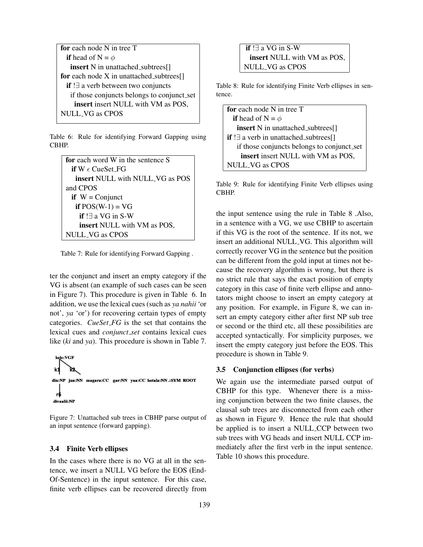```
for each node N in tree T
 if head of N = \phiinsert N in unattached_subtrees[]
for each node X in unattached subtrees\lceil \cdot \rceilif !∃ a verb between two conjuncts
   if those conjuncts belongs to conjunct_set
    insert insert NULL with VM as POS,
NULL VG as CPOS
```
Table 6: Rule for identifying Forward Gapping using CBHP.

```
for each word W in the sentence S
 if W \in CueSet FG
   insert NULL with NULL VG as POS
and CPOS
 if W = Conjunct
  if POS(W-1) = VGif !∃ a VG in S-W
    insert NULL with VM as POS,
NULL VG as CPOS
```
Table 7: Rule for identifying Forward Gapping .

ter the conjunct and insert an empty category if the VG is absent (an example of such cases can be seen in Figure 7). This procedure is given in Table 6. In addition, we use the lexical cues (such as *ya nahii* 'or not', *ya* 'or') for recovering certain types of empty categories. *CueSet FG* is the set that contains the lexical cues and *conjunct set* contains lexical cues like (*ki* and *ya*). This procedure is shown in Table 7.



Figure 7: Unattached sub trees in CBHP parse output of an input sentence (forward gapping).

### 3.4 Finite Verb ellipses

In the cases where there is no VG at all in the sentence, we insert a NULL VG before the EOS (End-Of-Sentence) in the input sentence. For this case, finite verb ellipses can be recovered directly from

if !∃ a VG in S-W insert NULL with VM as POS, NULL VG as CPOS

Table 8: Rule for identifying Finite Verb ellipses in sentence.

| for each node N in tree T                           |
|-----------------------------------------------------|
| <b>if</b> head of N = $\phi$                        |
| <b>insert</b> N in unattached_subtrees[]            |
| <b>if</b> $\exists$ a verb in unattached_subtrees[] |
| if those conjuncts belongs to conjunct_set          |
| insert insert NULL with VM as POS,                  |
| NULL_VG as CPOS                                     |

Table 9: Rule for identifying Finite Verb ellipses using CBHP.

the input sentence using the rule in Table 8 .Also, in a sentence with a VG, we use CBHP to ascertain if this VG is the root of the sentence. If its not, we insert an additional NULL VG. This algorithm will correctly recover VG in the sentence but the position can be different from the gold input at times not because the recovery algorithm is wrong, but there is no strict rule that says the exact position of empty category in this case of finite verb ellipse and annotators might choose to insert an empty category at any position. For example, in Figure 8, we can insert an empty category either after first NP sub tree or second or the third etc, all these possibilities are accepted syntactically. For simplicity purposes, we insert the empty category just before the EOS. This procedure is shown in Table 9.

#### 3.5 Conjunction ellipses (for verbs)

We again use the intermediate parsed output of CBHP for this type. Whenever there is a missing conjunction between the two finite clauses, the clausal sub trees are disconnected from each other as shown in Figure 9. Hence the rule that should be applied is to insert a NULL CCP between two sub trees with VG heads and insert NULL CCP immediately after the first verb in the input sentence. Table 10 shows this procedure.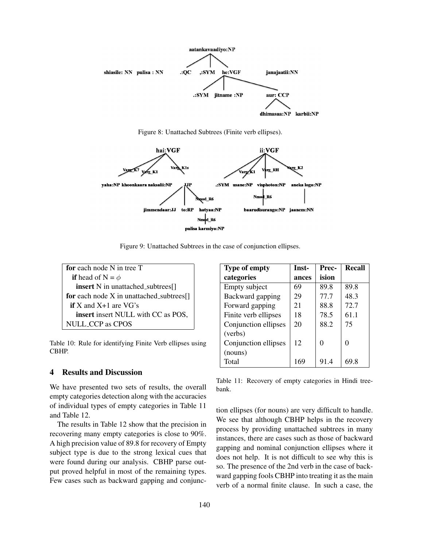

Figure 8: Unattached Subtrees (Finite verb ellipses).



Figure 9: Unattached Subtrees in the case of conjunction ellipses.

for each node N in tree T if head of  $N = \phi$ insert N in unattached\_subtrees[] for each node  $X$  in unattached subtrees $[]$ if X and X+1 are VG's insert insert NULL with CC as POS, NULL CCP as CPOS

Table 10: Rule for identifying Finite Verb ellipses using CBHP.

# 4 Results and Discussion

We have presented two sets of results, the overall empty categories detection along with the accuracies of individual types of empty categories in Table 11 and Table 12.

The results in Table 12 show that the precision in recovering many empty categories is close to 90%. A high precision value of 89.8 for recovery of Empty subject type is due to the strong lexical cues that were found during our analysis. CBHP parse output proved helpful in most of the remaining types. Few cases such as backward gapping and conjunc-

| <b>Type of empty</b> | Inst- | Prec- | <b>Recall</b> |
|----------------------|-------|-------|---------------|
| categories           | ances | ision |               |
| Empty subject        | 69    | 89.8  | 89.8          |
| Backward gapping     | 29    | 77.7  | 48.3          |
| Forward gapping      | 21    | 88.8  | 72.7          |
| Finite verb ellipses | 18    | 78.5  | 61.1          |
| Conjunction ellipses | 20    | 88.2  | 75            |
| (verbs)              |       |       |               |
| Conjunction ellipses | 12    | 0     |               |
| (nouns)              |       |       |               |
| Total                | 169   | 91.4  | 69 8          |

Table 11: Recovery of empty categories in Hindi treebank.

tion ellipses (for nouns) are very difficult to handle. We see that although CBHP helps in the recovery process by providing unattached subtrees in many instances, there are cases such as those of backward gapping and nominal conjunction ellipses where it does not help. It is not difficult to see why this is so. The presence of the 2nd verb in the case of backward gapping fools CBHP into treating it as the main verb of a normal finite clause. In such a case, the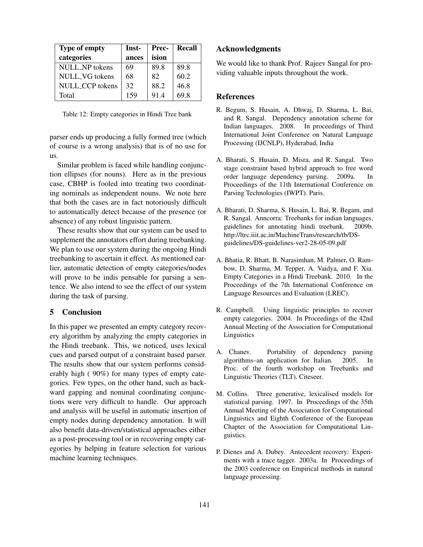| <b>Type of empty</b> | Inst- | Prec- | Recall |
|----------------------|-------|-------|--------|
| categories           | ances | ision |        |
| NULL NP tokens       | 69    | 89.8  | 89.8   |
| NULL VG tokens       | 68    | 82    | 60.2   |
| NULL CCP tokens      | 32    | 88.2  | 46.8   |
| Total                | 159   | 91.4  | 69 8   |

Table 12: Empty categories in Hindi Tree bank

parser ends up producing a fully formed tree (which of course is a wrong analysis) that is of no use for us.

Similar problem is faced while handling conjunction ellipses (for nouns). Here as in the previous case, CBHP is fooled into treating two coordinating nominals as independent nouns. We note here that both the cases are in fact notoriously difficult to automatically detect because of the presence (or absence) of any robust linguistic pattern.

These results show that our system can be used to supplement the annotators effort during treebanking. We plan to use our system during the ongoing Hindi treebanking to ascertain it effect. As mentioned earlier, automatic detection of empty categories/nodes will prove to be indis pensable for parsing a sentence. We also intend to see the effect of our system during the task of parsing.

# 5 Conclusion

In this paper we presented an empty category recovery algorithm by analyzing the empty categories in the Hindi treebank. This, we noticed, uses lexical cues and parsed output of a constraint based parser. The results show that our system performs considerably high ( 90%) for many types of empty categories. Few types, on the other hand, such as backward gapping and nominal coordinating conjunctions were very difficult to handle. Our approach and analysis will be useful in automatic insertion of empty nodes during dependency annotation. It will also benefit data-driven/statistical approaches either as a post-processing tool or in recovering empty categories by helping in feature selection for various machine learning techniques.

#### Acknowledgments

We would like to thank Prof. Rajeev Sangal for providing valuable inputs throughout the work.

#### References

- R. Begum, S. Husain, A. Dhwaj, D. Sharma, L. Bai, and R. Sangal. Dependency annotation scheme for Indian languages. 2008. In proceedings of Third International Joint Conference on Natural Language Processing (IJCNLP), Hyderabad, India
- A. Bharati, S. Husain, D. Misra, and R. Sangal. Two stage constraint based hybrid approach to free word order language dependency parsing. 2009a. In Proceedings of the 11th International Conference on Parsing Technologies (IWPT). Paris.
- A. Bharati, D. Sharma, S. Husain, L. Bai, R. Begam, and R. Sangal. Anncorra: Treebanks for indian languages, guidelines for annotating hindi treebank. 2009b. http://ltrc.iiit.ac.in/MachineTrans/research/tb/DSguidelines/DS-guidelines-ver2-28-05-09.pdf
- A. Bhatia, R. Bhatt, B. Narasimhan, M. Palmer, O. Rambow, D. Sharma, M. Tepper, A. Vaidya, and F. Xia. Empty Categories in a Hindi Treebank. 2010. In the Proceedings of the 7th International Conference on Language Resources and Evaluation (LREC).
- R. Campbell. Using linguistic principles to recover empty categories. 2004. In Proceedings of the 42nd Annual Meeting of the Association for Computational Linguistics
- A. Chanev. Portability of dependency parsing algorithms–an application for Italian. 2005. In Proc. of the fourth workshop on Treebanks and Linguistic Theories (TLT). Citeseer.
- M. Collins. Three generative, lexicalised models for statistical parsing. 1997. In Proceedings of the 35th Annual Meeting of the Association for Computational Linguistics and Eighth Conference of the European Chapter of the Association for Computational Linguistics.
- P. Dienes and A. Dubey. Antecedent recovery: Experiments with a trace tagger. 2003a. In Proceedings of the 2003 conference on Empirical methods in natural language processing.